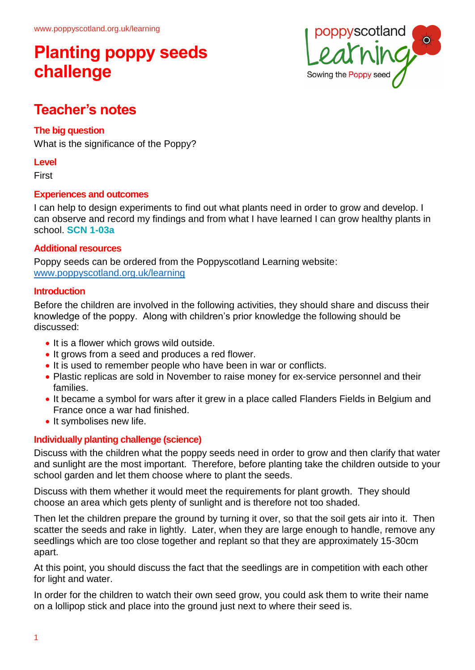

### **Teacher's notes**

### **The big question**

What is the significance of the Poppy?

#### **Level**

**First** 

### **Experiences and outcomes**

I can help to design experiments to find out what plants need in order to grow and develop. I can observe and record my findings and from what I have learned I can grow healthy plants in school. **SCN 1-03a**

#### **Additional resources**

Poppy seeds can be ordered from the Poppyscotland Learning website: [www.poppyscotland.org.uk/learning](http://www.poppyscotland.org.uk/learning)

#### **Introduction**

Before the children are involved in the following activities, they should share and discuss their knowledge of the poppy. Along with children's prior knowledge the following should be discussed:

- It is a flower which grows wild outside.
- It grows from a seed and produces a red flower.
- It is used to remember people who have been in war or conflicts.
- Plastic replicas are sold in November to raise money for ex-service personnel and their families.
- It became a symbol for wars after it grew in a place called Flanders Fields in Belgium and France once a war had finished.
- It symbolises new life.

### **Individually planting challenge (science)**

Discuss with the children what the poppy seeds need in order to grow and then clarify that water and sunlight are the most important. Therefore, before planting take the children outside to your school garden and let them choose where to plant the seeds.

Discuss with them whether it would meet the requirements for plant growth. They should choose an area which gets plenty of sunlight and is therefore not too shaded.

Then let the children prepare the ground by turning it over, so that the soil gets air into it. Then scatter the seeds and rake in lightly. Later, when they are large enough to handle, remove any seedlings which are too close together and replant so that they are approximately 15-30cm apart.

At this point, you should discuss the fact that the seedlings are in competition with each other for light and water.

In order for the children to watch their own seed grow, you could ask them to write their name on a lollipop stick and place into the ground just next to where their seed is.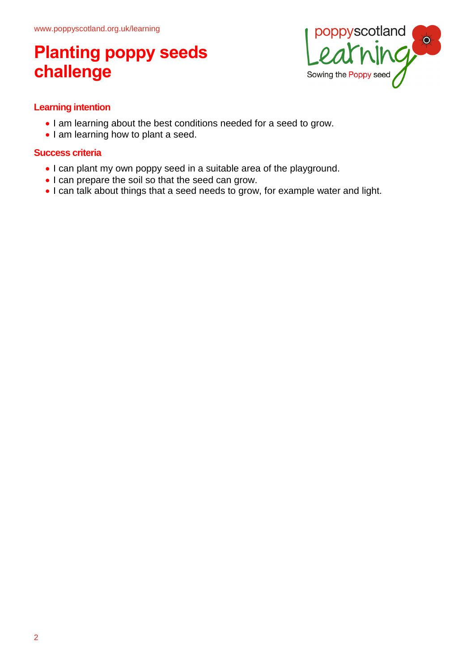

### **Learning intention**

- I am learning about the best conditions needed for a seed to grow.
- I am learning how to plant a seed.

### **Success criteria**

- I can plant my own poppy seed in a suitable area of the playground.
- I can prepare the soil so that the seed can grow.
- I can talk about things that a seed needs to grow, for example water and light.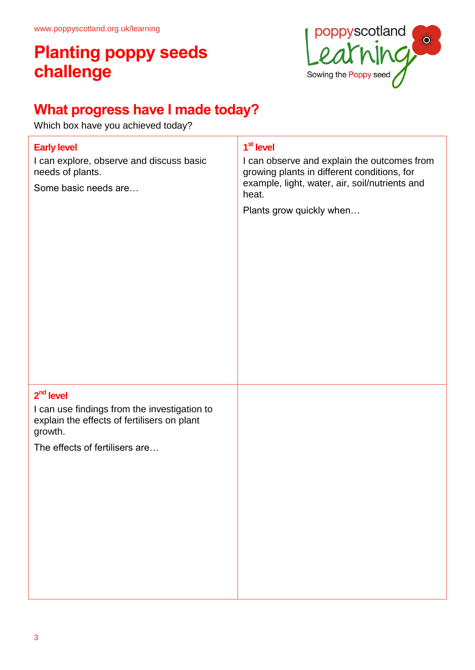

### **What progress have I made today?**

Which box have you achieved today?

| <b>Early level</b><br>I can explore, observe and discuss basic<br>needs of plants.<br>Some basic needs are                                              | 1 <sup>st</sup> level<br>I can observe and explain the outcomes from<br>growing plants in different conditions, for<br>example, light, water, air, soil/nutrients and<br>heat.<br>Plants grow quickly when |
|---------------------------------------------------------------------------------------------------------------------------------------------------------|------------------------------------------------------------------------------------------------------------------------------------------------------------------------------------------------------------|
| $2nd$ level<br>I can use findings from the investigation to<br>explain the effects of fertilisers on plant<br>growth.<br>The effects of fertilisers are |                                                                                                                                                                                                            |